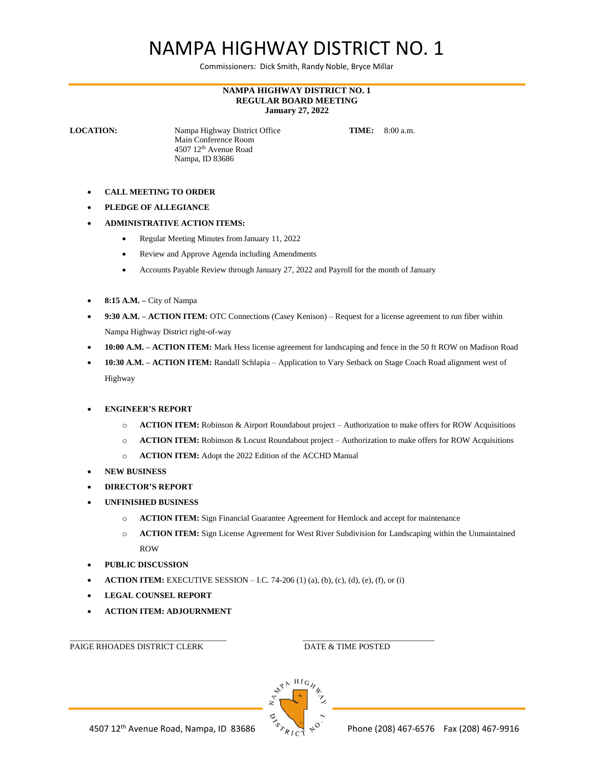## NAMPA HIGHWAY DISTRICT NO. 1

Commissioners: Dick Smith, Randy Noble, Bryce Millar

## **NAMPA HIGHWAY DISTRICT NO. 1 REGULAR BOARD MEETING January 27, 2022**

**LOCATION:** Nampa Highway District Office **TIME:** 8:00 a.m. Main Conference Room 4507 12th Avenue Road Nampa, ID 83686

- **CALL MEETING TO ORDER**
- **PLEDGE OF ALLEGIANCE**
- **ADMINISTRATIVE ACTION ITEMS:**
	- Regular Meeting Minutes from January 11, 2022
	- Review and Approve Agenda including Amendments
	- Accounts Payable Review through January 27, 2022 and Payroll for the month of January
- **8:15 A.M. –** City of Nampa
- **9:30 A.M. – ACTION ITEM:** OTC Connections (Casey Kenison) Request for a license agreement to run fiber within Nampa Highway District right-of-way
- **10:00 A.M. – ACTION ITEM:** Mark Hess license agreement for landscaping and fence in the 50 ft ROW on Madison Road
- **10:30 A.M. – ACTION ITEM:** Randall Schlapia Application to Vary Setback on Stage Coach Road alignment west of Highway
- **ENGINEER'S REPORT**
	- o **ACTION ITEM:** Robinson & Airport Roundabout project Authorization to make offers for ROW Acquisitions
	- o **ACTION ITEM:** Robinson & Locust Roundabout project Authorization to make offers for ROW Acquisitions
	- o **ACTION ITEM:** Adopt the 2022 Edition of the ACCHD Manual
- **NEW BUSINESS**
- **DIRECTOR'S REPORT**
- **UNFINISHED BUSINESS**
	- o **ACTION ITEM:** Sign Financial Guarantee Agreement for Hemlock and accept for maintenance
	- o **ACTION ITEM:** Sign License Agreement for West River Subdivision for Landscaping within the Unmaintained ROW
- **PUBLIC DISCUSSION**
- **ACTION ITEM:** EXECUTIVE SESSION I.C. 74-206 (1) (a), (b), (c), (d), (e), (f), or (i)
- **LEGAL COUNSEL REPORT**
- **ACTION ITEM: ADJOURNMENT**

PAIGE RHOADES DISTRICT CLERK DATE & TIME POSTED

\_\_\_\_\_\_\_\_\_\_\_\_\_\_\_\_\_\_\_\_\_\_\_\_\_\_\_\_\_\_\_\_\_\_\_\_\_\_ \_\_\_\_\_\_\_\_\_\_\_\_\_\_\_\_\_\_\_\_\_\_\_\_\_\_\_\_\_\_\_\_

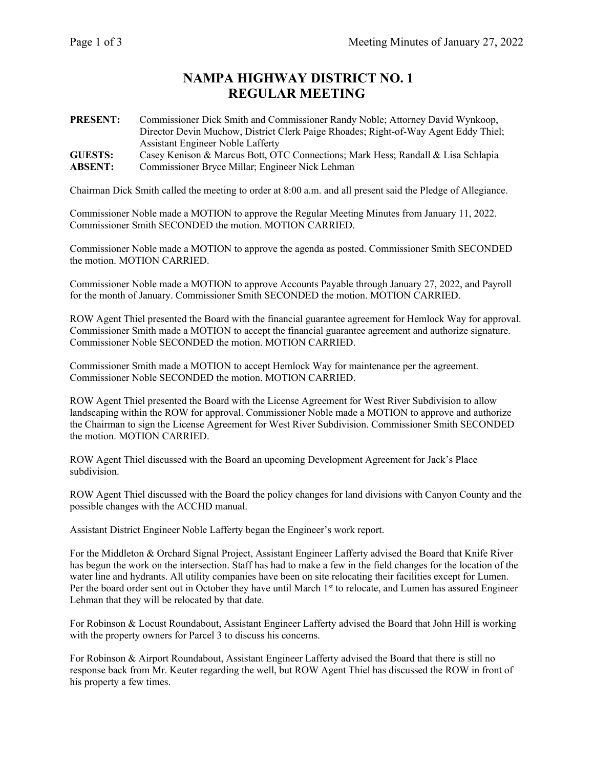## **NAMPA HIGHWAY DISTRICT NO. 1 REGULAR MEETING**

**PRESENT:** Commissioner Dick Smith and Commissioner Randy Noble; Attorney David Wynkoop, Director Devin Muchow, District Clerk Paige Rhoades; Right-of-Way Agent Eddy Thiel; Assistant Engineer Noble Lafferty **GUESTS:** Casey Kenison & Marcus Bott, OTC Connections; Mark Hess; Randall & Lisa Schlapia **ABSENT:** Commissioner Bryce Millar; Engineer Nick Lehman

Chairman Dick Smith called the meeting to order at 8:00 a.m. and all present said the Pledge of Allegiance.

Commissioner Noble made a MOTION to approve the Regular Meeting Minutes from January 11, 2022. Commissioner Smith SECONDED the motion. MOTION CARRIED.

Commissioner Noble made a MOTION to approve the agenda as posted. Commissioner Smith SECONDED the motion. MOTION CARRIED.

Commissioner Noble made a MOTION to approve Accounts Payable through January 27, 2022, and Payroll for the month of January. Commissioner Smith SECONDED the motion. MOTION CARRIED.

ROW Agent Thiel presented the Board with the financial guarantee agreement for Hemlock Way for approval. Commissioner Smith made a MOTION to accept the financial guarantee agreement and authorize signature. Commissioner Noble SECONDED the motion. MOTION CARRIED.

Commissioner Smith made a MOTION to accept Hemlock Way for maintenance per the agreement. Commissioner Noble SECONDED the motion. MOTION CARRIED.

ROW Agent Thiel presented the Board with the License Agreement for West River Subdivision to allow landscaping within the ROW for approval. Commissioner Noble made a MOTION to approve and authorize the Chairman to sign the License Agreement for West River Subdivision. Commissioner Smith SECONDED the motion. MOTION CARRIED.

ROW Agent Thiel discussed with the Board an upcoming Development Agreement for Jack's Place subdivision.

ROW Agent Thiel discussed with the Board the policy changes for land divisions with Canyon County and the possible changes with the ACCHD manual.

Assistant District Engineer Noble Lafferty began the Engineer's work report.

For the Middleton & Orchard Signal Project, Assistant Engineer Lafferty advised the Board that Knife River has begun the work on the intersection. Staff has had to make a few in the field changes for the location of the water line and hydrants. All utility companies have been on site relocating their facilities except for Lumen. Per the board order sent out in October they have until March 1st to relocate, and Lumen has assured Engineer Lehman that they will be relocated by that date.

For Robinson & Locust Roundabout, Assistant Engineer Lafferty advised the Board that John Hill is working with the property owners for Parcel 3 to discuss his concerns.

For Robinson & Airport Roundabout, Assistant Engineer Lafferty advised the Board that there is still no response back from Mr. Keuter regarding the well, but ROW Agent Thiel has discussed the ROW in front of his property a few times.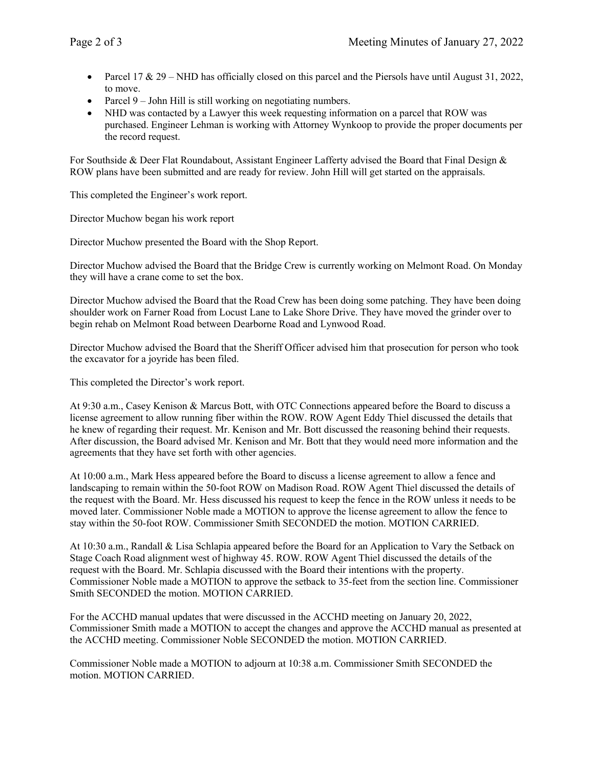- Parcel 17 & 29 NHD has officially closed on this parcel and the Piersols have until August 31, 2022, to move.
- Parcel 9 John Hill is still working on negotiating numbers.
- NHD was contacted by a Lawyer this week requesting information on a parcel that ROW was purchased. Engineer Lehman is working with Attorney Wynkoop to provide the proper documents per the record request.

For Southside & Deer Flat Roundabout, Assistant Engineer Lafferty advised the Board that Final Design & ROW plans have been submitted and are ready for review. John Hill will get started on the appraisals.

This completed the Engineer's work report.

Director Muchow began his work report

Director Muchow presented the Board with the Shop Report.

Director Muchow advised the Board that the Bridge Crew is currently working on Melmont Road. On Monday they will have a crane come to set the box.

Director Muchow advised the Board that the Road Crew has been doing some patching. They have been doing shoulder work on Farner Road from Locust Lane to Lake Shore Drive. They have moved the grinder over to begin rehab on Melmont Road between Dearborne Road and Lynwood Road.

Director Muchow advised the Board that the Sheriff Officer advised him that prosecution for person who took the excavator for a joyride has been filed.

This completed the Director's work report.

At 9:30 a.m., Casey Kenison & Marcus Bott, with OTC Connections appeared before the Board to discuss a license agreement to allow running fiber within the ROW. ROW Agent Eddy Thiel discussed the details that he knew of regarding their request. Mr. Kenison and Mr. Bott discussed the reasoning behind their requests. After discussion, the Board advised Mr. Kenison and Mr. Bott that they would need more information and the agreements that they have set forth with other agencies.

At 10:00 a.m., Mark Hess appeared before the Board to discuss a license agreement to allow a fence and landscaping to remain within the 50-foot ROW on Madison Road. ROW Agent Thiel discussed the details of the request with the Board. Mr. Hess discussed his request to keep the fence in the ROW unless it needs to be moved later. Commissioner Noble made a MOTION to approve the license agreement to allow the fence to stay within the 50-foot ROW. Commissioner Smith SECONDED the motion. MOTION CARRIED.

At 10:30 a.m., Randall & Lisa Schlapia appeared before the Board for an Application to Vary the Setback on Stage Coach Road alignment west of highway 45. ROW. ROW Agent Thiel discussed the details of the request with the Board. Mr. Schlapia discussed with the Board their intentions with the property. Commissioner Noble made a MOTION to approve the setback to 35-feet from the section line. Commissioner Smith SECONDED the motion. MOTION CARRIED.

For the ACCHD manual updates that were discussed in the ACCHD meeting on January 20, 2022, Commissioner Smith made a MOTION to accept the changes and approve the ACCHD manual as presented at the ACCHD meeting. Commissioner Noble SECONDED the motion. MOTION CARRIED.

Commissioner Noble made a MOTION to adjourn at 10:38 a.m. Commissioner Smith SECONDED the motion. MOTION CARRIED.